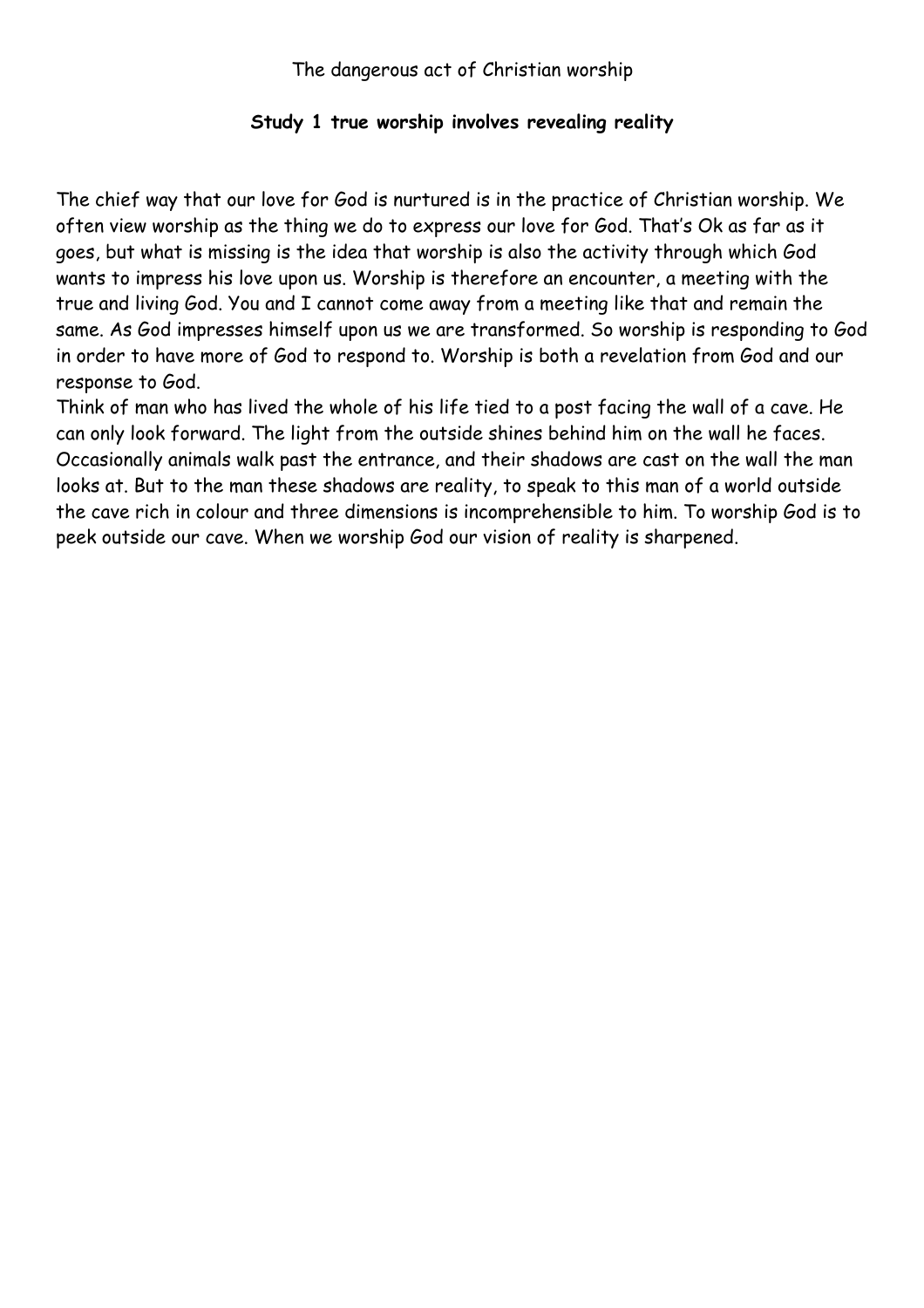### **Study 1 true worship involves revealing reality**

The chief way that our love for God is nurtured is in the practice of Christian worship. We often view worship as the thing we do to express our love for God. That's Ok as far as it goes, but what is missing is the idea that worship is also the activity through which God wants to impress his love upon us. Worship is therefore an encounter, a meeting with the true and living God. You and I cannot come away from a meeting like that and remain the same. As God impresses himself upon us we are transformed. So worship is responding to God in order to have more of God to respond to. Worship is both a revelation from God and our response to God.

Think of man who has lived the whole of his life tied to a post facing the wall of a cave. He can only look forward. The light from the outside shines behind him on the wall he faces. Occasionally animals walk past the entrance, and their shadows are cast on the wall the man looks at. But to the man these shadows are reality, to speak to this man of a world outside the cave rich in colour and three dimensions is incomprehensible to him. To worship God is to peek outside our cave. When we worship God our vision of reality is sharpened.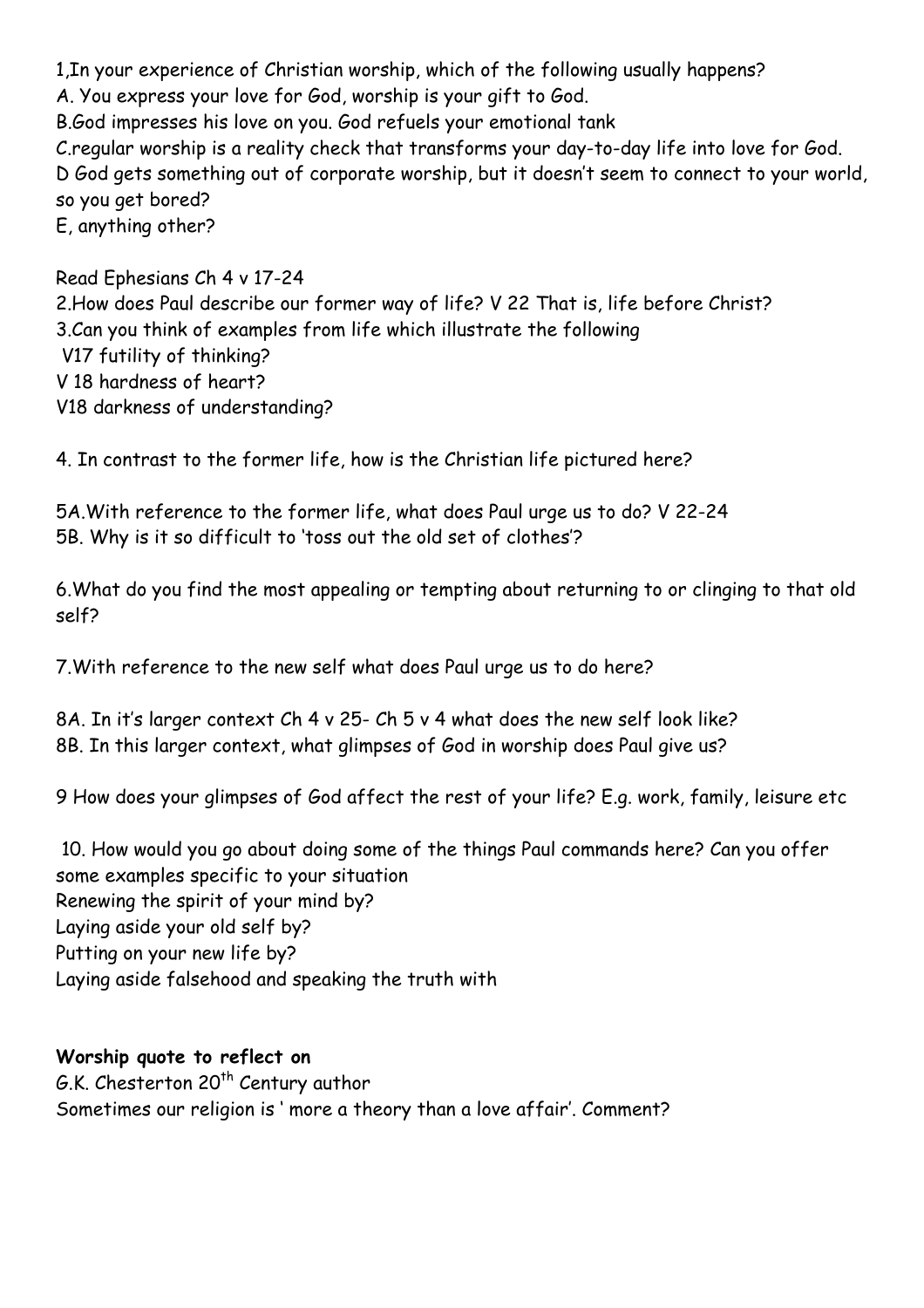1,In your experience of Christian worship, which of the following usually happens? A. You express your love for God, worship is your gift to God. B.God impresses his love on you. God refuels your emotional tank C.regular worship is a reality check that transforms your day-to-day life into love for God. D God gets something out of corporate worship, but it doesn't seem to connect to your world, so you get bored? E, anything other?

Read Ephesians Ch 4 v 17-24 2.How does Paul describe our former way of life? V 22 That is, life before Christ? 3.Can you think of examples from life which illustrate the following V17 futility of thinking? V 18 hardness of heart? V18 darkness of understanding?

4. In contrast to the former life, how is the Christian life pictured here?

5A.With reference to the former life, what does Paul urge us to do? V 22-24 5B. Why is it so difficult to 'toss out the old set of clothes'?

6.What do you find the most appealing or tempting about returning to or clinging to that old self?

7.With reference to the new self what does Paul urge us to do here?

8A. In it's larger context Ch 4 v 25- Ch 5 v 4 what does the new self look like? 8B. In this larger context, what glimpses of God in worship does Paul give us?

9 How does your glimpses of God affect the rest of your life? E.g. work, family, leisure etc

 10. How would you go about doing some of the things Paul commands here? Can you offer some examples specific to your situation Renewing the spirit of your mind by? Laying aside your old self by? Putting on your new life by? Laying aside falsehood and speaking the truth with

### **Worship quote to reflect on**

G.K. Chesterton 20<sup>th</sup> Century author Sometimes our religion is ' more a theory than a love affair'. Comment?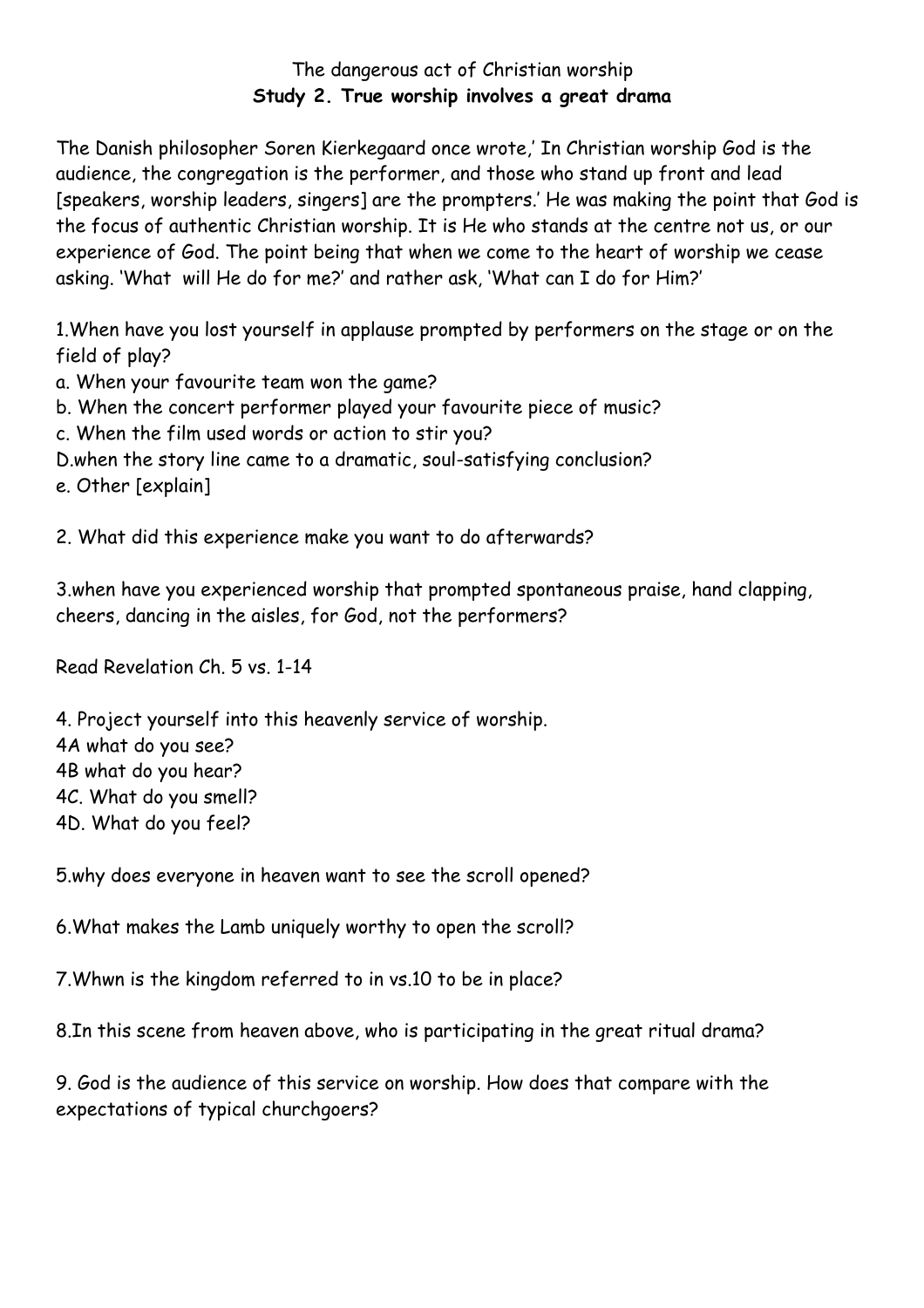## The dangerous act of Christian worship **Study 2. True worship involves a great drama**

The Danish philosopher Soren Kierkegaard once wrote,' In Christian worship God is the audience, the congregation is the performer, and those who stand up front and lead [speakers, worship leaders, singers] are the prompters.' He was making the point that God is the focus of authentic Christian worship. It is He who stands at the centre not us, or our experience of God. The point being that when we come to the heart of worship we cease asking. 'What will He do for me?' and rather ask, 'What can I do for Him?'

1.When have you lost yourself in applause prompted by performers on the stage or on the field of play?

- a. When your favourite team won the game?
- b. When the concert performer played your favourite piece of music?
- c. When the film used words or action to stir you?
- D.when the story line came to a dramatic, soul-satisfying conclusion?

e. Other [explain]

2. What did this experience make you want to do afterwards?

3.when have you experienced worship that prompted spontaneous praise, hand clapping, cheers, dancing in the aisles, for God, not the performers?

Read Revelation Ch. 5 vs. 1-14

4. Project yourself into this heavenly service of worship.

4A what do you see?

4B what do you hear?

4C. What do you smell?

4D. What do you feel?

5.why does everyone in heaven want to see the scroll opened?

6.What makes the Lamb uniquely worthy to open the scroll?

7.Whwn is the kingdom referred to in vs.10 to be in place?

8.In this scene from heaven above, who is participating in the great ritual drama?

9. God is the audience of this service on worship. How does that compare with the expectations of typical churchgoers?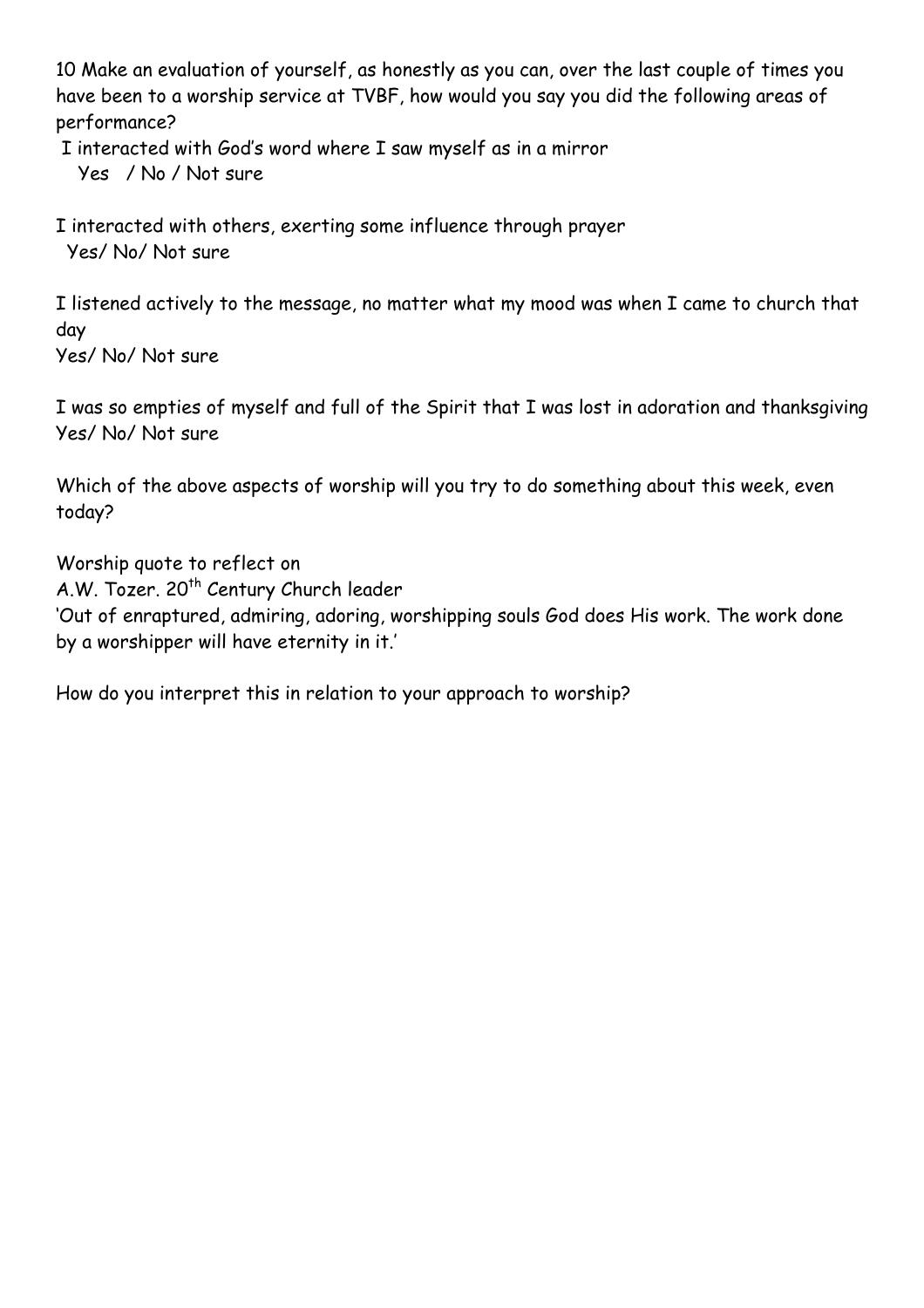10 Make an evaluation of yourself, as honestly as you can, over the last couple of times you have been to a worship service at TVBF, how would you say you did the following areas of performance?

I interacted with God's word where I saw myself as in a mirror

Yes / No / Not sure

I interacted with others, exerting some influence through prayer Yes/ No/ Not sure

I listened actively to the message, no matter what my mood was when I came to church that day Yes/ No/ Not sure

I was so empties of myself and full of the Spirit that I was lost in adoration and thanksgiving Yes/ No/ Not sure

Which of the above aspects of worship will you try to do something about this week, even today?

Worship quote to reflect on A.W. Tozer. 20<sup>th</sup> Century Church leader 'Out of enraptured, admiring, adoring, worshipping souls God does His work. The work done by a worshipper will have eternity in it.'

How do you interpret this in relation to your approach to worship?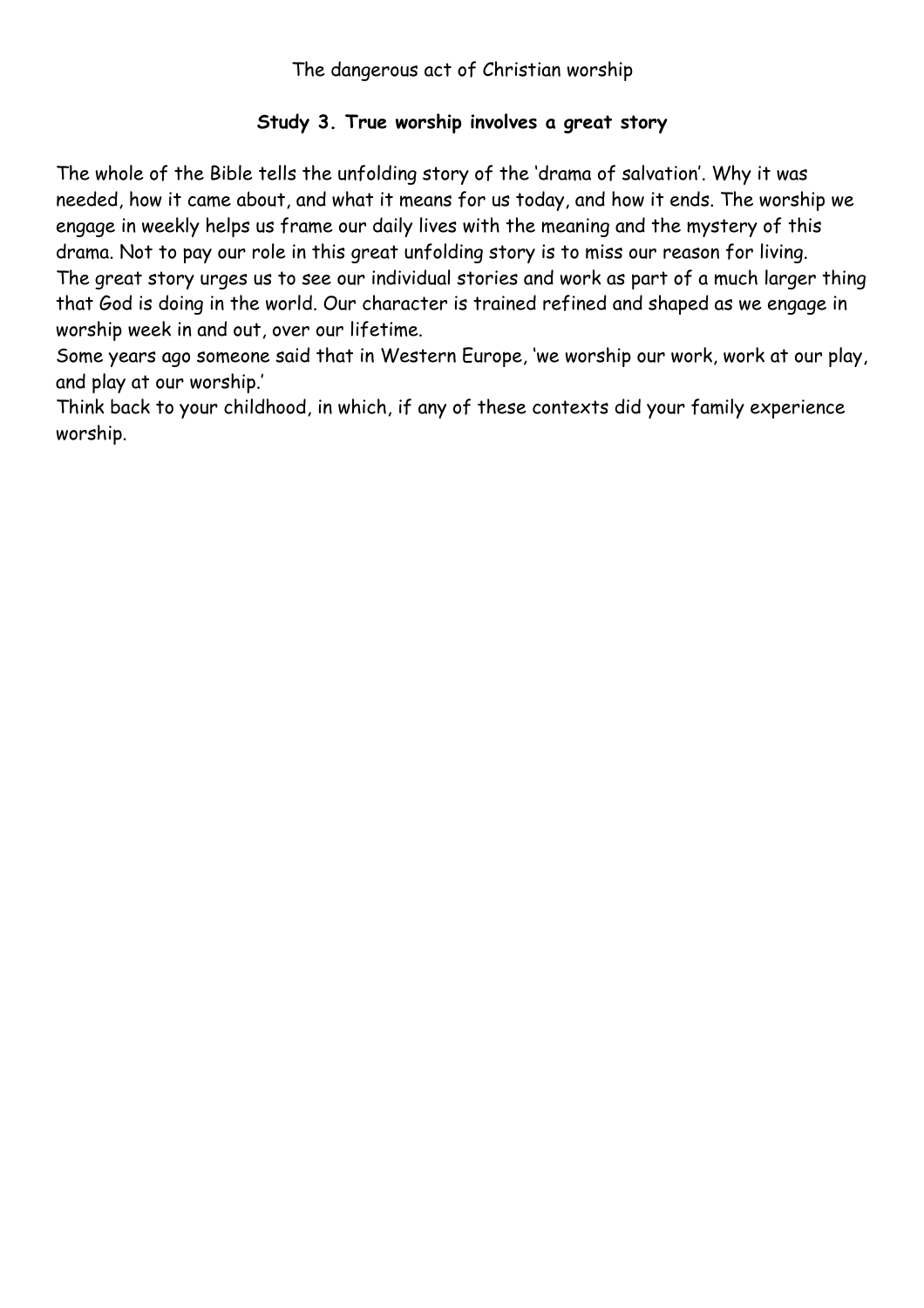# **Study 3. True worship involves a great story**

The whole of the Bible tells the unfolding story of the 'drama of salvation'. Why it was needed, how it came about, and what it means for us today, and how it ends. The worship we engage in weekly helps us frame our daily lives with the meaning and the mystery of this drama. Not to pay our role in this great unfolding story is to miss our reason for living. The great story urges us to see our individual stories and work as part of a much larger thing that God is doing in the world. Our character is trained refined and shaped as we engage in worship week in and out, over our lifetime.

Some years ago someone said that in Western Europe, 'we worship our work, work at our play, and play at our worship.'

Think back to your childhood, in which, if any of these contexts did your family experience worship.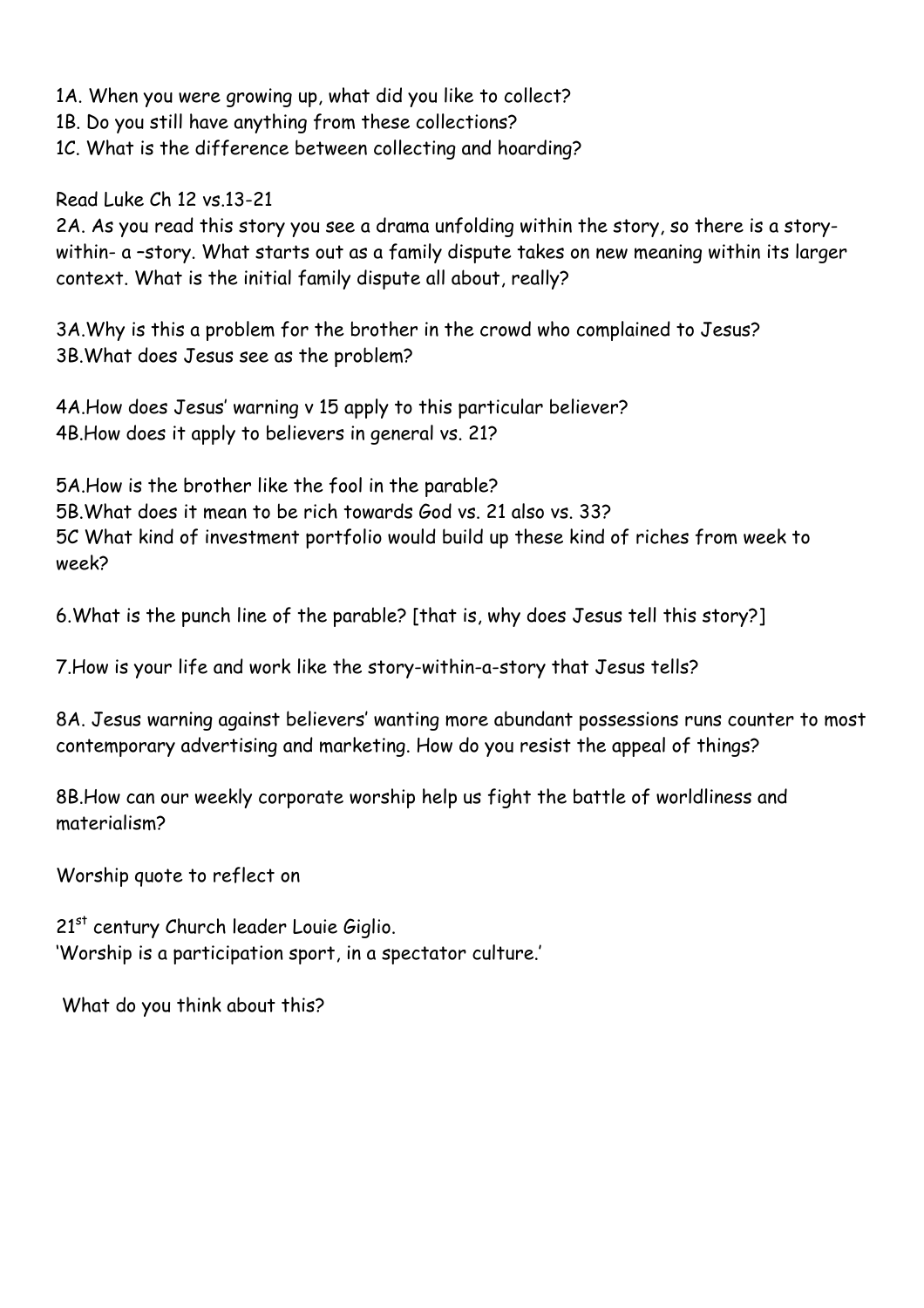1A. When you were growing up, what did you like to collect?

1B. Do you still have anything from these collections?

1C. What is the difference between collecting and hoarding?

Read Luke Ch 12 vs.13-21

2A. As you read this story you see a drama unfolding within the story, so there is a storywithin- a –story. What starts out as a family dispute takes on new meaning within its larger context. What is the initial family dispute all about, really?

3A.Why is this a problem for the brother in the crowd who complained to Jesus? 3B.What does Jesus see as the problem?

4A.How does Jesus' warning v 15 apply to this particular believer? 4B.How does it apply to believers in general vs. 21?

5A.How is the brother like the fool in the parable? 5B.What does it mean to be rich towards God vs. 21 also vs. 33? 5C What kind of investment portfolio would build up these kind of riches from week to week?

6.What is the punch line of the parable? [that is, why does Jesus tell this story?]

7.How is your life and work like the story-within-a-story that Jesus tells?

8A. Jesus warning against believers' wanting more abundant possessions runs counter to most contemporary advertising and marketing. How do you resist the appeal of things?

8B.How can our weekly corporate worship help us fight the battle of worldliness and materialism?

Worship quote to reflect on

21<sup>st</sup> century Church leader Louie Giglio. 'Worship is a participation sport, in a spectator culture.'

What do you think about this?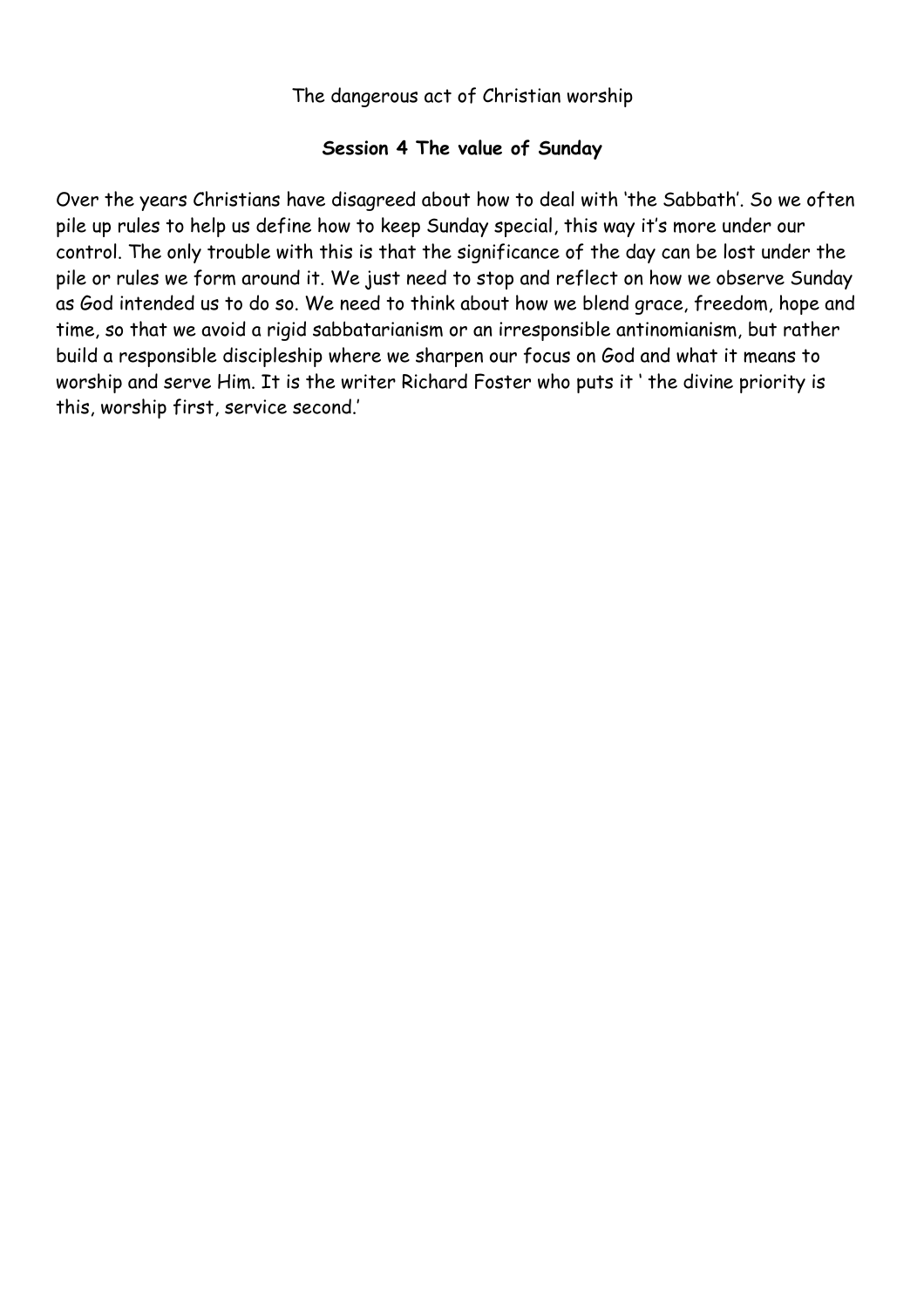### **Session 4 The value of Sunday**

Over the years Christians have disagreed about how to deal with 'the Sabbath'. So we often pile up rules to help us define how to keep Sunday special, this way it's more under our control. The only trouble with this is that the significance of the day can be lost under the pile or rules we form around it. We just need to stop and reflect on how we observe Sunday as God intended us to do so. We need to think about how we blend grace, freedom, hope and time, so that we avoid a rigid sabbatarianism or an irresponsible antinomianism, but rather build a responsible discipleship where we sharpen our focus on God and what it means to worship and serve Him. It is the writer Richard Foster who puts it ' the divine priority is this, worship first, service second.'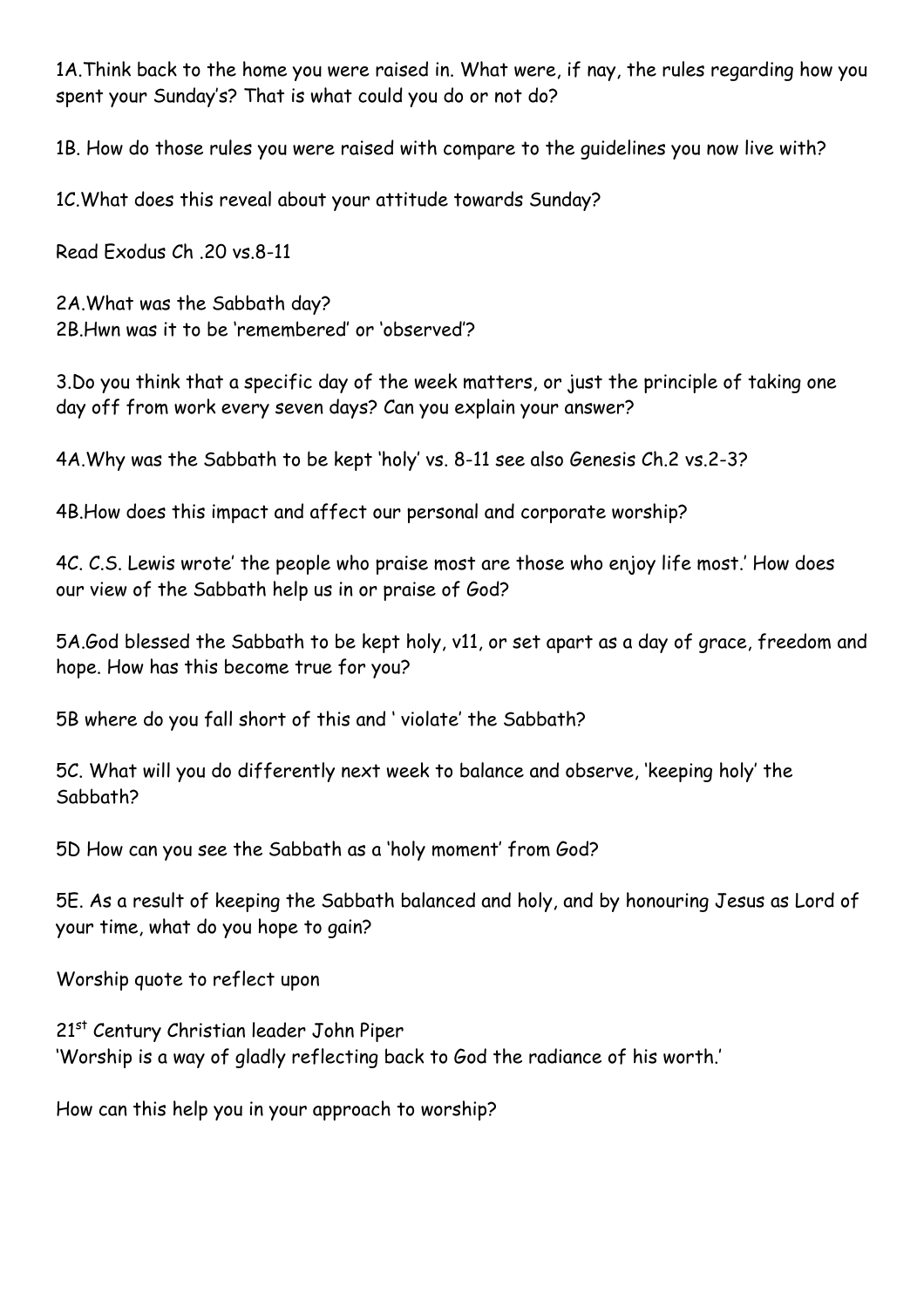1A.Think back to the home you were raised in. What were, if nay, the rules regarding how you spent your Sunday's? That is what could you do or not do?

1B. How do those rules you were raised with compare to the guidelines you now live with?

1C.What does this reveal about your attitude towards Sunday?

Read Exodus Ch .20 vs.8-11

2A.What was the Sabbath day? 2B.Hwn was it to be 'remembered' or 'observed'?

3.Do you think that a specific day of the week matters, or just the principle of taking one day off from work every seven days? Can you explain your answer?

4A.Why was the Sabbath to be kept 'holy' vs. 8-11 see also Genesis Ch.2 vs.2-3?

4B.How does this impact and affect our personal and corporate worship?

4C. C.S. Lewis wrote' the people who praise most are those who enjoy life most.' How does our view of the Sabbath help us in or praise of God?

5A.God blessed the Sabbath to be kept holy, v11, or set apart as a day of grace, freedom and hope. How has this become true for you?

5B where do you fall short of this and ' violate' the Sabbath?

5C. What will you do differently next week to balance and observe, 'keeping holy' the Sabbath?

5D How can you see the Sabbath as a 'holy moment' from God?

5E. As a result of keeping the Sabbath balanced and holy, and by honouring Jesus as Lord of your time, what do you hope to gain?

Worship quote to reflect upon

21<sup>st</sup> Century Christian leader John Piper 'Worship is a way of gladly reflecting back to God the radiance of his worth.'

How can this help you in your approach to worship?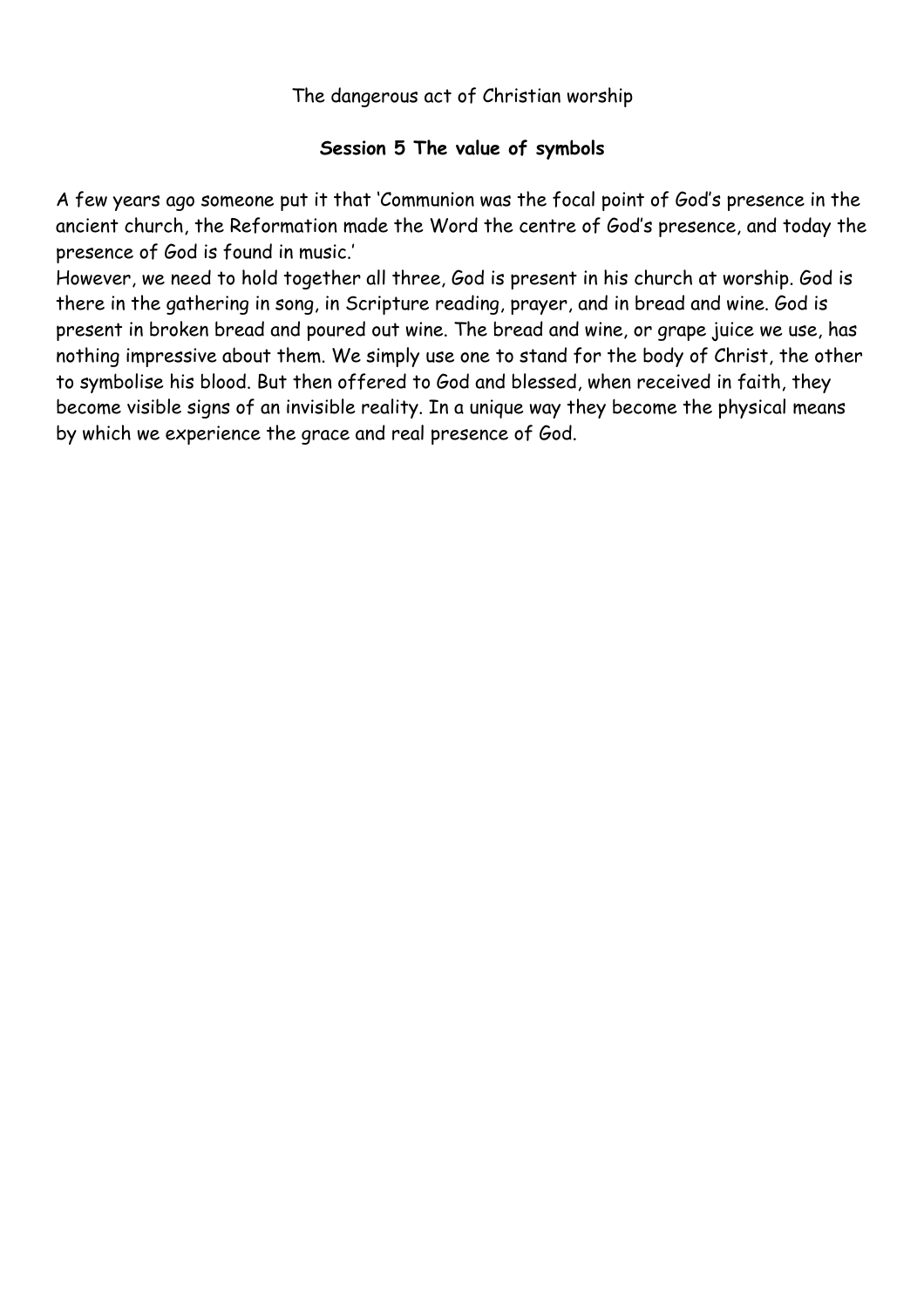## **Session 5 The value of symbols**

A few years ago someone put it that 'Communion was the focal point of God's presence in the ancient church, the Reformation made the Word the centre of God's presence, and today the presence of God is found in music.'

However, we need to hold together all three, God is present in his church at worship. God is there in the gathering in song, in Scripture reading, prayer, and in bread and wine. God is present in broken bread and poured out wine. The bread and wine, or grape juice we use, has nothing impressive about them. We simply use one to stand for the body of Christ, the other to symbolise his blood. But then offered to God and blessed, when received in faith, they become visible signs of an invisible reality. In a unique way they become the physical means by which we experience the grace and real presence of God.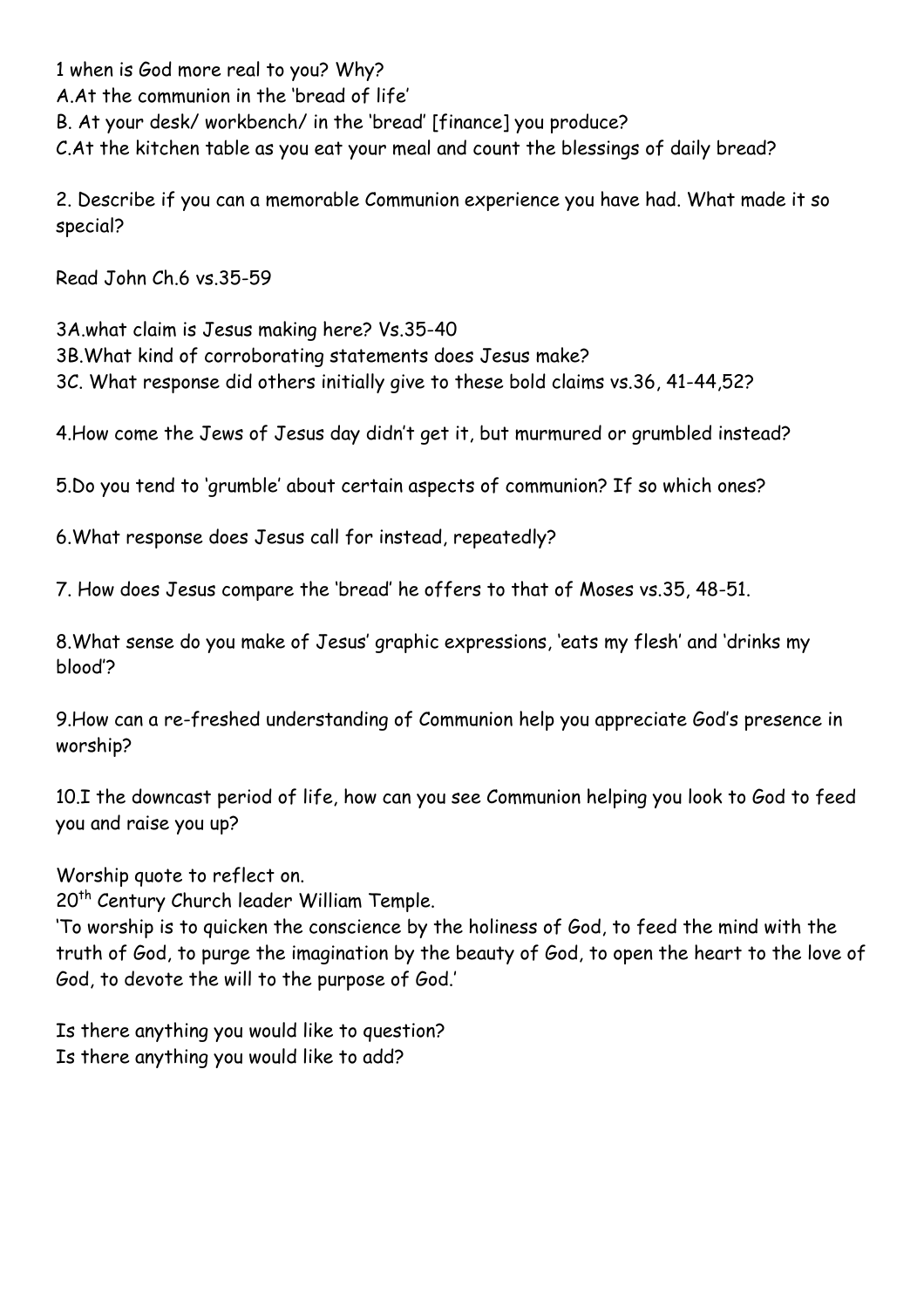1 when is God more real to you? Why? A.At the communion in the 'bread of life' B. At your desk/ workbench/ in the 'bread' [finance] you produce? C.At the kitchen table as you eat your meal and count the blessings of daily bread?

2. Describe if you can a memorable Communion experience you have had. What made it so special?

Read John Ch.6 vs.35-59

3A.what claim is Jesus making here? Vs.35-40 3B.What kind of corroborating statements does Jesus make? 3C. What response did others initially give to these bold claims vs.36, 41-44,52?

4.How come the Jews of Jesus day didn't get it, but murmured or grumbled instead?

5.Do you tend to 'grumble' about certain aspects of communion? If so which ones?

6.What response does Jesus call for instead, repeatedly?

7. How does Jesus compare the 'bread' he offers to that of Moses vs.35, 48-51.

8.What sense do you make of Jesus' graphic expressions, 'eats my flesh' and 'drinks my blood'?

9.How can a re-freshed understanding of Communion help you appreciate God's presence in worship?

10.I the downcast period of life, how can you see Communion helping you look to God to feed you and raise you up?

Worship quote to reflect on.

20<sup>th</sup> Century Church leader William Temple.

'To worship is to quicken the conscience by the holiness of God, to feed the mind with the truth of God, to purge the imagination by the beauty of God, to open the heart to the love of God, to devote the will to the purpose of God.'

Is there anything you would like to question? Is there anything you would like to add?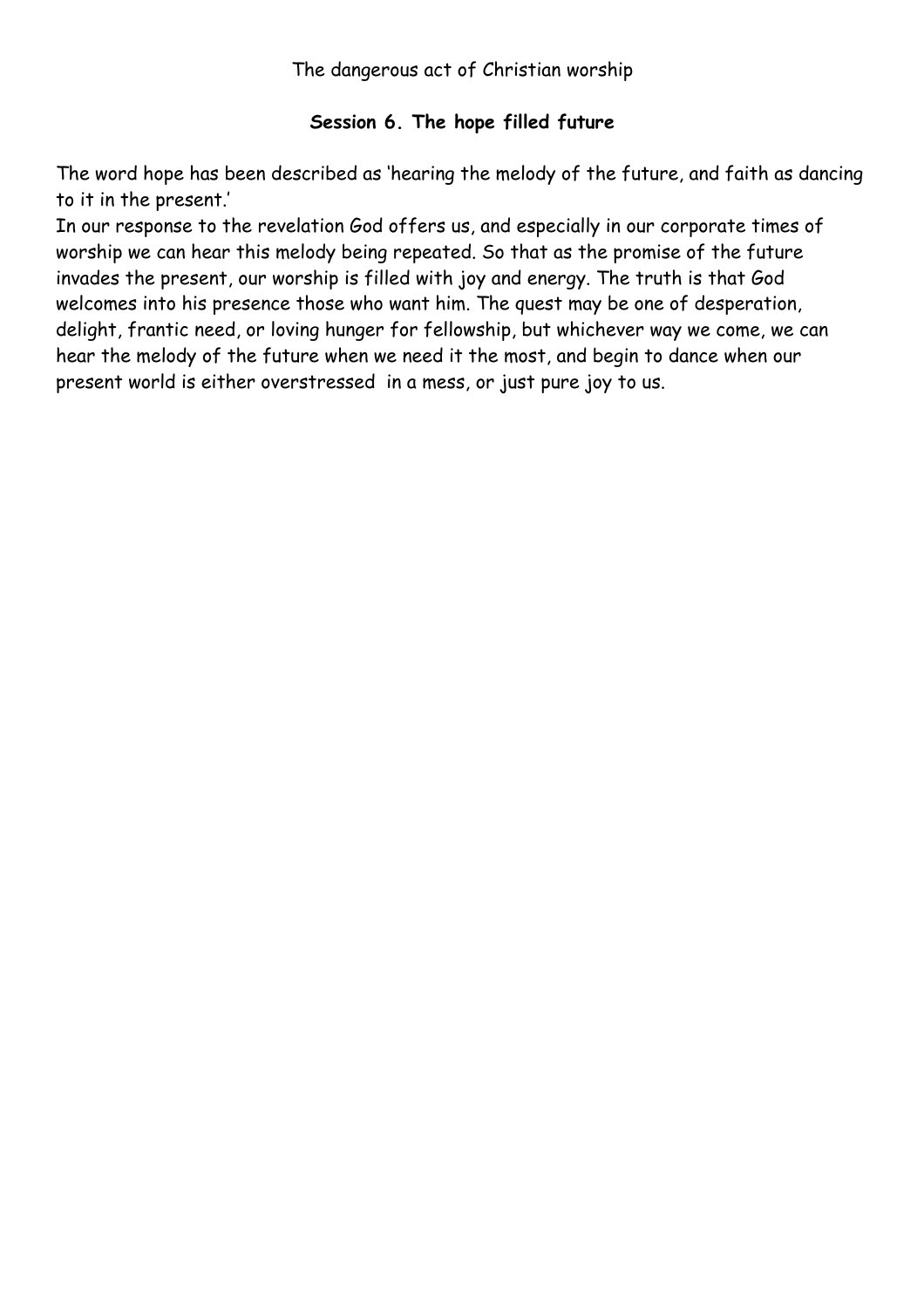## **Session 6. The hope filled future**

The word hope has been described as 'hearing the melody of the future, and faith as dancing to it in the present.'

In our response to the revelation God offers us, and especially in our corporate times of worship we can hear this melody being repeated. So that as the promise of the future invades the present, our worship is filled with joy and energy. The truth is that God welcomes into his presence those who want him. The quest may be one of desperation, delight, frantic need, or loving hunger for fellowship, but whichever way we come, we can hear the melody of the future when we need it the most, and begin to dance when our present world is either overstressed in a mess, or just pure joy to us.